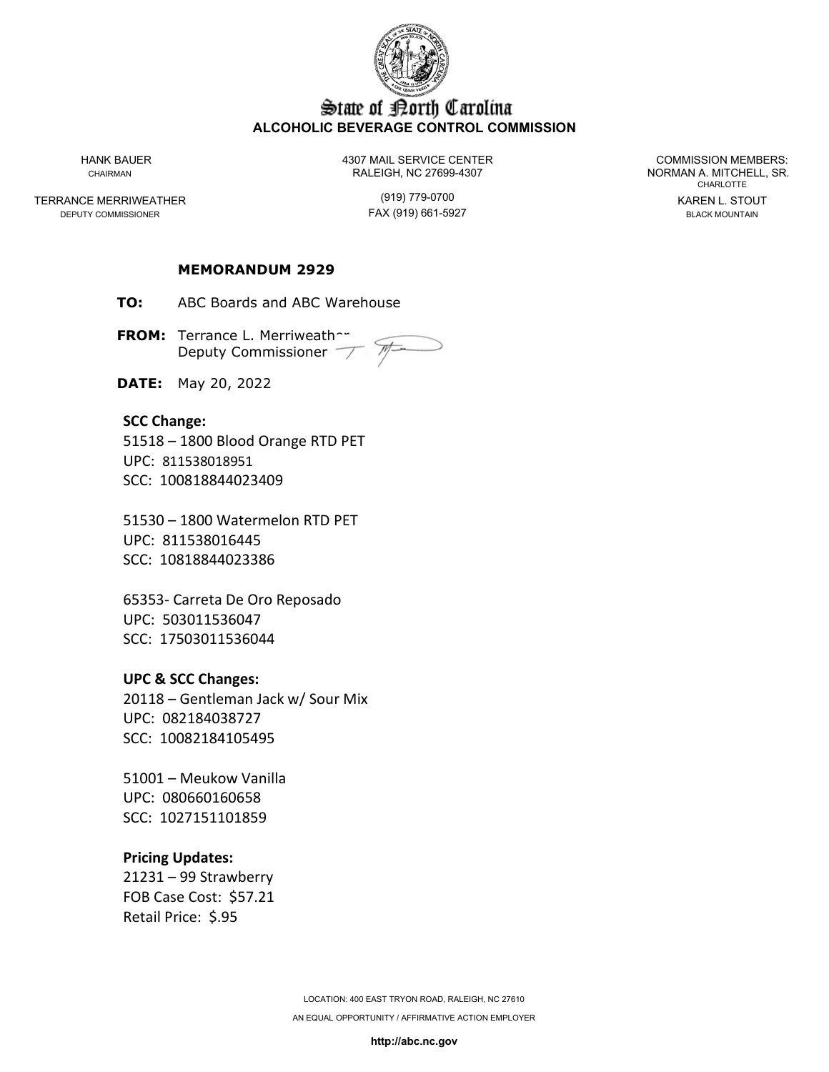

# State of Borth Carolina **ALCOHOLIC BEVERAGE CONTROL COMMISSION**

TERRANCE MERRIWEATHER (919) 779-0700 KAREN L. STOUT

HANK BAUER 4307 MAIL SERVICE CENTER COMMISSION MEMBERS: CHAIRMAN CHAIRMAN RALEIGH, NC 27699-4307 NORMAN A. MITCHELL, SR.

FAX (919) 661-5927

CHARLOTTE

### **MEMORANDUM 2929**

**TO:** ABC Boards and ABC Warehouse

**FROM:** Terrance L. Merriweather Deputy Commissioner

**DATE:** May 20, 2022

### **SCC Change:**

51518 – 1800 Blood Orange RTD PET UPC: 811538018951 SCC: 100818844023409

51530 – 1800 Watermelon RTD PET UPC: 811538016445 SCC: 10818844023386

65353- Carreta De Oro Reposado UPC: 503011536047 SCC: 17503011536044

#### **UPC & SCC Changes:**

20118 – Gentleman Jack w/ Sour Mix UPC: 082184038727 SCC: 10082184105495

51001 – Meukow Vanilla UPC: 080660160658 SCC: 1027151101859

#### **Pricing Updates:**

21231 – 99 Strawberry FOB Case Cost: \$57.21 Retail Price: \$.95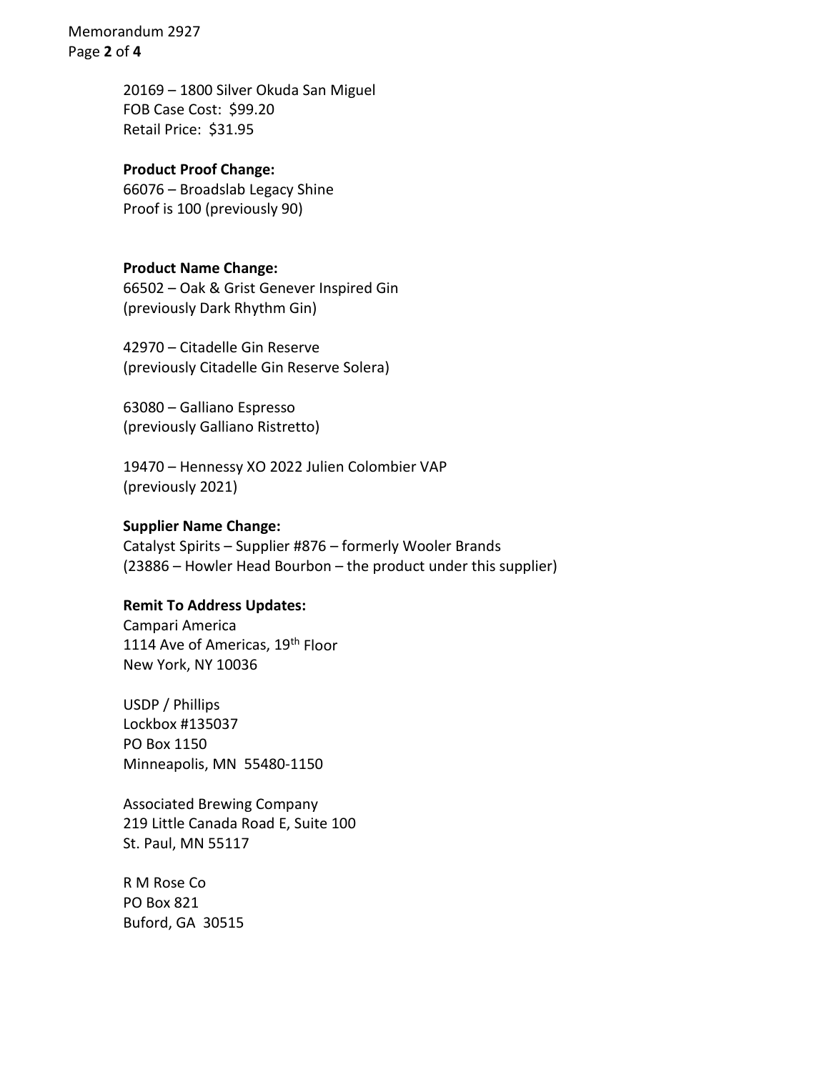Memorandum 2927 Page **2** of **4**

> 20169 – 1800 Silver Okuda San Miguel FOB Case Cost: \$99.20 Retail Price: \$31.95

#### **Product Proof Change:**

66076 – Broadslab Legacy Shine Proof is 100 (previously 90)

#### **Product Name Change:**

66502 – Oak & Grist Genever Inspired Gin (previously Dark Rhythm Gin)

42970 – Citadelle Gin Reserve (previously Citadelle Gin Reserve Solera)

63080 – Galliano Espresso (previously Galliano Ristretto)

19470 – Hennessy XO 2022 Julien Colombier VAP (previously 2021)

#### **Supplier Name Change:**

Catalyst Spirits – Supplier #876 – formerly Wooler Brands (23886 – Howler Head Bourbon – the product under this supplier)

## **Remit To Address Updates:**

Campari America 1114 Ave of Americas, 19<sup>th</sup> Floor New York, NY 10036

USDP / Phillips Lockbox #135037 PO Box 1150 Minneapolis, MN 55480-1150

Associated Brewing Company 219 Little Canada Road E, Suite 100 St. Paul, MN 55117

R M Rose Co PO Box 821 Buford, GA 30515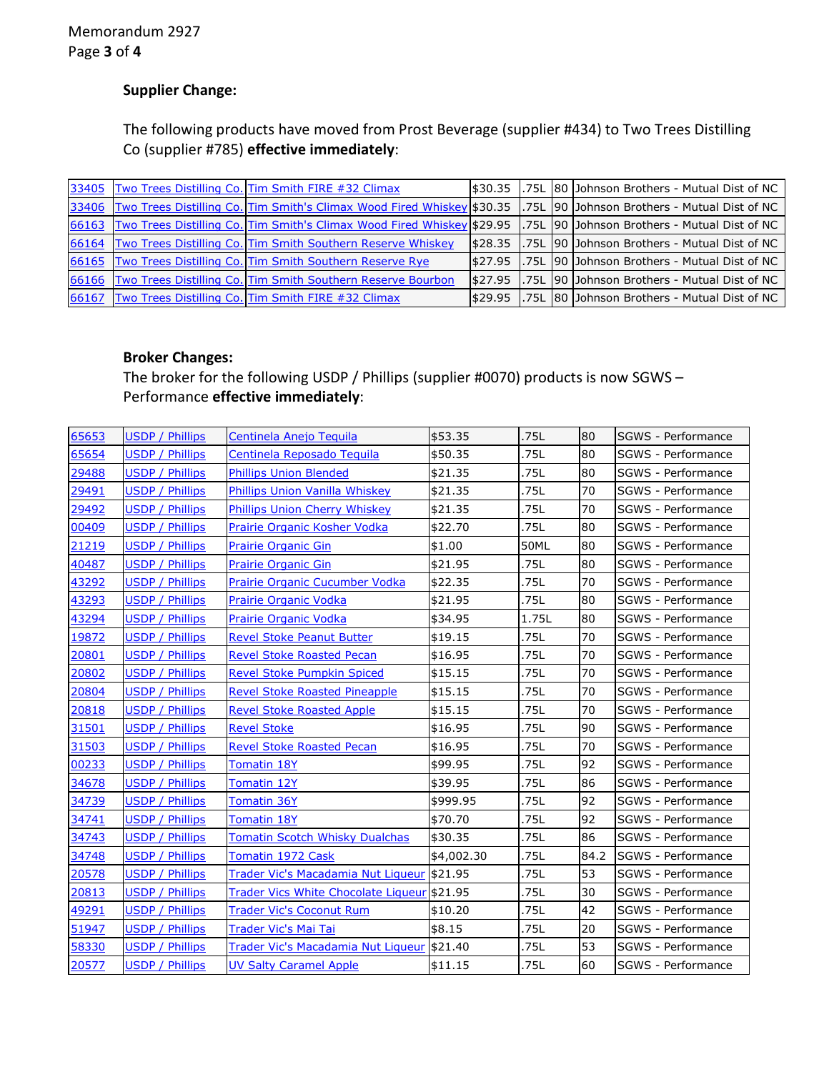# **Supplier Change:**

The following products have moved from Prost Beverage (supplier #434) to Two Trees Distilling Co (supplier #785) **effective immediately**:

|       | 33405 Two Trees Distilling Co. Tim Smith FIRE #32 Climax                                                                 |          |  | \$30.35 .75L 80 Johnson Brothers - Mutual Dist of NC |
|-------|--------------------------------------------------------------------------------------------------------------------------|----------|--|------------------------------------------------------|
|       | 33406 Two Trees Distilling Co. Tim Smith's Climax Wood Fired Whiskey \$30.35                                             |          |  | 1.75L 90 Johnson Brothers - Mutual Dist of NC        |
|       | 66163 Two Trees Distilling Co. Tim Smith's Climax Wood Fired Whiskey \$29.95 75L 90 Johnson Brothers - Mutual Dist of NC |          |  |                                                      |
| 66164 | <b>Two Trees Distilling Co. Tim Smith Southern Reserve Whiskey</b>                                                       | \$28.35  |  | 1.75L 90 Johnson Brothers - Mutual Dist of NC        |
|       | 66165 Two Trees Distilling Co. Tim Smith Southern Reserve Rye                                                            |          |  | S27.95 1.75L 90 Johnson Brothers - Mutual Dist of NC |
|       | 66166 Two Trees Distilling Co. Tim Smith Southern Reserve Bourbon                                                        | \$27.95  |  | 1.75L 190 JJohnson Brothers - Mutual Dist of NC      |
| 66167 | Two Trees Distilling Co. Tim Smith FIRE #32 Climax                                                                       | I\$29.95 |  | 1.75L 80 Johnson Brothers - Mutual Dist of NC        |

# **Broker Changes:**

The broker for the following USDP / Phillips (supplier #0070) products is now SGWS – Performance **effective immediately**:

| 65653 | <b>USDP / Phillips</b> | Centinela Anejo Teguila                     | \$53.35    | .75L        | 80   | SGWS - Performance        |
|-------|------------------------|---------------------------------------------|------------|-------------|------|---------------------------|
| 65654 | <b>USDP / Phillips</b> | Centinela Reposado Teguila                  | \$50.35    | .75L        | 80   | SGWS - Performance        |
| 29488 | <b>USDP / Phillips</b> | <b>Phillips Union Blended</b>               | \$21.35    | .75L        | 80   | SGWS - Performance        |
| 29491 | USDP / Phillips        | Phillips Union Vanilla Whiskey              | \$21.35    | .75L        | 70   | SGWS - Performance        |
| 29492 | <b>USDP / Phillips</b> | Phillips Union Cherry Whiskey               | \$21.35    | .75L        | 70   | SGWS - Performance        |
| 00409 | <b>USDP / Phillips</b> | Prairie Organic Kosher Vodka                | \$22.70    | .75L        | 80   | SGWS - Performance        |
| 21219 | <b>USDP / Phillips</b> | <b>Prairie Organic Gin</b>                  | \$1.00     | <b>50ML</b> | 80   | SGWS - Performance        |
| 40487 | <b>USDP / Phillips</b> | <b>Prairie Organic Gin</b>                  | \$21.95    | .75L        | 80   | SGWS - Performance        |
| 43292 | <b>USDP / Phillips</b> | Prairie Organic Cucumber Vodka              | \$22.35    | .75L        | 70   | SGWS - Performance        |
| 43293 | <b>USDP / Phillips</b> | Prairie Organic Vodka                       | \$21.95    | .75L        | 80   | SGWS - Performance        |
| 43294 | <b>USDP / Phillips</b> | Prairie Organic Vodka                       | \$34.95    | 1.75L       | 80   | SGWS - Performance        |
| 19872 | <b>USDP / Phillips</b> | <b>Revel Stoke Peanut Butter</b>            | \$19.15    | .75L        | 70   | SGWS - Performance        |
| 20801 | <b>USDP / Phillips</b> | <b>Revel Stoke Roasted Pecan</b>            | \$16.95    | .75L        | 70   | SGWS - Performance        |
| 20802 | <b>USDP / Phillips</b> | <b>Revel Stoke Pumpkin Spiced</b>           | \$15.15    | .75L        | 70   | SGWS - Performance        |
| 20804 | <b>USDP / Phillips</b> | <b>Revel Stoke Roasted Pineapple</b>        | \$15.15    | .75L        | 70   | SGWS - Performance        |
| 20818 | <b>USDP / Phillips</b> | <b>Revel Stoke Roasted Apple</b>            | \$15.15    | .75L        | 70   | SGWS - Performance        |
| 31501 | <b>USDP / Phillips</b> | <b>Revel Stoke</b>                          | \$16.95    | .75L        | 90   | SGWS - Performance        |
| 31503 | <b>USDP / Phillips</b> | <b>Revel Stoke Roasted Pecan</b>            | \$16.95    | .75L        | 70   | SGWS - Performance        |
| 00233 | <b>USDP / Phillips</b> | <b>Tomatin 18Y</b>                          | \$99.95    | .75L        | 92   | SGWS - Performance        |
| 34678 | <b>USDP / Phillips</b> | <b>Tomatin 12Y</b>                          | \$39.95    | .75L        | 86   | SGWS - Performance        |
| 34739 | <b>USDP / Phillips</b> | Tomatin 36Y                                 | \$999.95   | .75L        | 92   | SGWS - Performance        |
| 34741 | <b>USDP / Phillips</b> | <b>Tomatin 18Y</b>                          | \$70.70    | .75L        | 92   | SGWS - Performance        |
| 34743 | <b>USDP / Phillips</b> | <b>Tomatin Scotch Whisky Dualchas</b>       | \$30.35    | .75L        | 86   | SGWS - Performance        |
| 34748 | <b>USDP / Phillips</b> | <b>Tomatin 1972 Cask</b>                    | \$4,002.30 | .75L        | 84.2 | <b>SGWS - Performance</b> |
| 20578 | <b>USDP / Phillips</b> | Trader Vic's Macadamia Nut Liqueur 321.95   |            | .75L        | 53   | SGWS - Performance        |
| 20813 | <b>USDP / Phillips</b> | Trader Vics White Chocolate Liqueur \$21.95 |            | .75L        | 30   | SGWS - Performance        |
| 49291 | USDP / Phillips        | <b>Trader Vic's Coconut Rum</b>             | \$10.20    | .75L        | 42   | SGWS - Performance        |
| 51947 | <b>USDP / Phillips</b> | Trader Vic's Mai Tai                        | \$8.15     | .75L        | 20   | SGWS - Performance        |
| 58330 | <b>USDP / Phillips</b> | Trader Vic's Macadamia Nut Liqueur \$21.40  |            | .75L        | 53   | SGWS - Performance        |
| 20577 | <b>USDP / Phillips</b> | <b>UV Salty Caramel Apple</b>               | \$11.15    | .75L        | 60   | SGWS - Performance        |